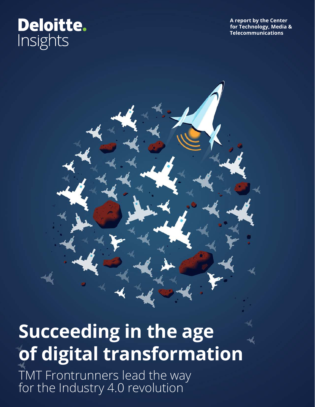# **Deloitte.** Insights

**A report by the Center for Technology, Media & Telecommunications**

# **Succeeding in the age of digital transformation**

TMT Frontrunners lead the way for the Industry 4.0 revolution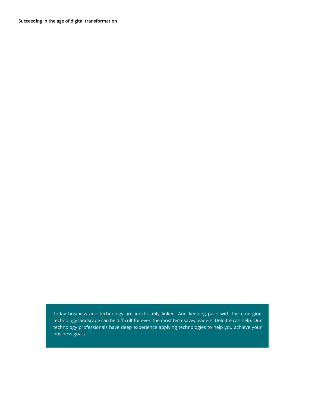**Succeeding in the age of digital transformation** 

Today business and technology are inextricably linked. And keeping pace with the emerging technology landscape can be difficult for even the most tech-savvy leaders. Deloitte can help. Our technology professionals have deep experience applying technologies to help you achieve your business goals.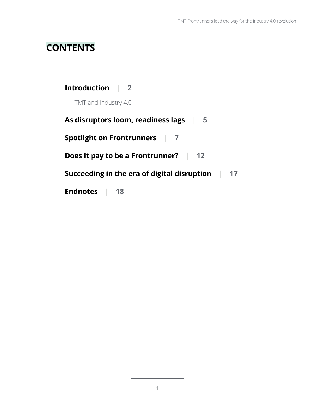## **CONTENTS**

| Introduction   2                                                 |
|------------------------------------------------------------------|
| TMT and Industry 4.0                                             |
| As disruptors loom, readiness lags   5                           |
| <b>Spotlight on Frontrunners</b><br>$\blacksquare$               |
| Does it pay to be a Frontrunner? $\vert$ 12                      |
| Succeeding in the era of digital disruption<br>$\blacksquare$ 17 |
| <b>Endnotes</b><br>18                                            |

 $\overline{\phantom{a}}$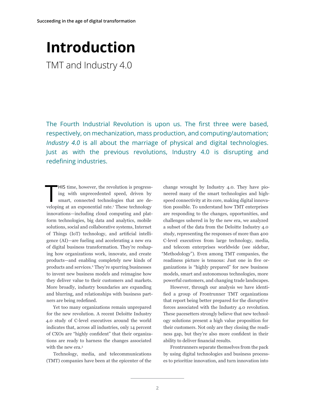## <span id="page-3-0"></span>**Introduction** TMT and Industry 4.0

The Fourth Industrial Revolution is upon us. The first three were based, respectively, on mechanization, mass production, and computing/automation; *Industry 4.0* is all about the marriage of physical and digital technologies. Just as with the previous revolutions, Industry 4.0 is disrupting and redefining industries.

T HIS time, however, the revolution is progressing with unprecedented speed, driven by smart, connected technologies that are developing at an exponential rate.<sup>1</sup> These technology innovations—including cloud computing and platform technologies, big data and analytics, mobile solutions, social and collaborative systems, Internet of Things (IoT) technology, and artificial intelligence (AI)—are fueling and accelerating a new era of digital business transformation. They're reshaping how organizations work, innovate, and create products—and enabling completely new kinds of products and services.2 They're spurring businesses to invent new business models and reimagine how they deliver value to their customers and markets. More broadly, industry boundaries are expanding and blurring, and relationships with business partners are being redefined.

Yet too many organizations remain unprepared for the new revolution. A recent Deloitte Industry 4.0 study of C-level executives around the world indicates that, across all industries, only 14 percent of CXOs are "highly confident" that their organizations are ready to harness the changes associated with the new era.3

Technology, media, and telecommunications (TMT) companies have been at the epicenter of the

change wrought by Industry 4.0. They have pioneered many of the smart technologies and highspeed connectivity at its core, making digital innovation possible. To understand how TMT enterprises are responding to the changes, opportunities, and challenges ushered in by the new era, we analyzed a subset of the data from the Deloitte Industry 4.0 study, representing the responses of more than 400 C-level executives from large technology, media, and telecom enterprises worldwide (see sidebar, "Methodology"). Even among TMT companies, the readiness picture is tenuous: Just one in five organizations is "highly prepared" for new business models, smart and autonomous technologies, more powerful customers, and changing trade landscapes.

However, through our analysis we have identified a group of Frontrunner TMT organizations that report being better prepared for the disruptive forces associated with the Industry 4.0 revolution. These pacesetters strongly believe that new technology solutions present a high value proposition for their customers. Not only are they closing the readiness gap, but they're also more confident in their ability to deliver financial results.

Frontrunners separate themselves from the pack by using digital technologies and business processes to prioritize innovation, and turn innovation into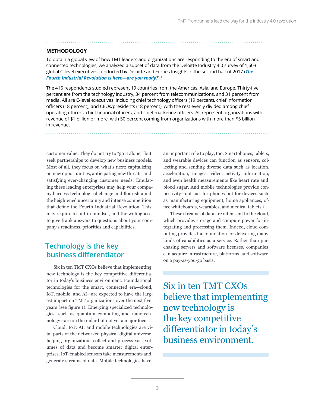#### **METHODOLOGY**

To obtain a global view of how TMT leaders and organizations are responding to the era of smart and connected technologies, we analyzed a subset of data from the Deloitte Industry 4.0 survey of 1,603 global C-level executives conducted by Deloitte and Forbes Insights in the second half of 2017 (*[The](https://www2.deloitte.com/content/dam/insights/us/articles/4364_Industry4-0_Are-you-ready/4364_Industry4-0_Are-you-ready_Report.pdf)  [Fourth Industrial Revolution is here—are you ready?](https://www2.deloitte.com/content/dam/insights/us/articles/4364_Industry4-0_Are-you-ready/4364_Industry4-0_Are-you-ready_Report.pdf)*).<sup>4</sup>

The 416 respondents studied represent 19 countries from the Americas, Asia, and Europe. Thirty-five percent are from the technology industry, 34 percent from telecommunications, and 31 percent from media. All are C-level executives, including chief technology officers (19 percent), chief information officers (18 percent), and CEOs/presidents (18 percent), with the rest evenly divided among chief operating officers, chief financial officers, and chief marketing officers. All represent organizations with revenue of \$1 billion or more, with 50 percent coming from organizations with more than \$5 billion in revenue.

customer value. They do not try to "go it alone," but seek partnerships to develop new business models. Most of all, they focus on what's next: capitalizing on new opportunities, anticipating new threats, and satisfying ever-changing customer needs. Emulating these leading enterprises may help your company harness technological change and flourish amid the heightened uncertainty and intense competition that define the Fourth Industrial Revolution. This may require a shift in mindset, and the willingness to give frank answers to questions about your company's readiness, priorities and capabilities.

### **Technology is the key business differentiator**

Six in ten TMT CXOs believe that implementing new technology is the key competitive differentiator in today's business environment. Foundational technologies for the smart, connected era—cloud, IoT, mobile, and AI—are expected to have the largest impact on TMT organizations over the next five years (see figure 1). Emerging specialized technologies—such as quantum computing and nanotechnology—are on the radar but not yet a major focus.

Cloud, IoT, AI, and mobile technologies are vital parts of the networked physical-digital universe, helping organizations collect and process vast volumes of data and become smarter digital enterprises. IoT-enabled sensors take measurements and generate streams of data. Mobile technologies have

an important role to play, too. Smartphones, tablets, and wearable devices can function as sensors, collecting and sending diverse data such as location, acceleration, images, video, activity information, and even health measurements like heart rate and blood sugar. And mobile technologies provide connectivity—not just for phones but for devices such as manufacturing equipment, home appliances, office whiteboards, wearables, and medical tablets.<sup>5</sup>

These streams of data are often sent to the cloud, which provides storage and compute power for integrating and processing them. Indeed, cloud computing provides the foundation for delivering many kinds of capabilities as a service. Rather than purchasing servers and software licenses, companies can acquire infrastructure, platforms, and software on a pay-as-you-go basis.

Six in ten TMT CXOs believe that implementing new technology is the key competitive differentiator in today's business environment.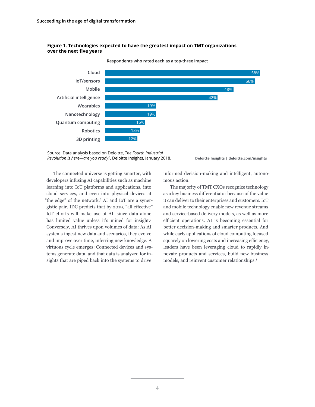



**Respondents who rated each as a top-three impact**

Source: Data analysis based on Deloitte, *The Fourth Industrial Revolution is here—are you ready?*, Deloitte Insights, January 2018.

**Deloitte Insights | deloitte.com/insights**

The connected universe is getting smarter, with developers infusing AI capabilities such as machine learning into IoT platforms and applications, into cloud services, and even into physical devices at "the edge" of the network.<sup>6</sup> AI and IoT are a synergistic pair. IDC predicts that by 2019, "all effective" IoT efforts will make use of AI, since data alone has limited value unless it's mined for insight.7 Conversely, AI thrives upon volumes of data: As AI systems ingest new data and scenarios, they evolve and improve over time, inferring new knowledge. A virtuous cycle emerges: Connected devices and systems generate data, and that data is analyzed for insights that are piped back into the systems to drive

informed decision-making and intelligent, autonomous action.

The majority of TMT CXOs recognize technology as a key business differentiator because of the value it can deliver to their enterprises and customers. IoT and mobile technology enable new revenue streams and service-based delivery models, as well as more efficient operations. AI is becoming essential for better decision-making and smarter products. And while early applications of cloud computing focused squarely on lowering costs and increasing efficiency, leaders have been leveraging cloud to rapidly innovate products and services, build new business models, and reinvent customer relationships.8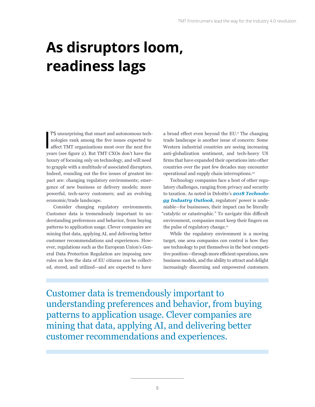# <span id="page-6-0"></span>**As disruptors loom, readiness lags**

I T'S unsurprising that smart and autonomous technologies rank among the five issues expected to affect TMT organizations most over the next five years (see figure 2). But TMT CXOs don't have the luxury of focusing only on technology, and will need to grapple with a multitude of associated disruptors. Indeed, rounding out the five issues of greatest impact are: changing regulatory environments; emergence of new business or delivery models; more powerful, tech-savvy customers; and an evolving economic/trade landscape.

Consider changing regulatory environments. Customer data is tremendously important to understanding preferences and behavior, from buying patterns to application usage. Clever companies are mining that data, applying AI, and delivering better customer recommendations and experiences. However, regulations such as the European Union's General Data Protection Regulation are imposing new rules on how the data of EU citizens can be collected, stored, and utilized—and are expected to have

a broad effect even beyond the EU.<sup>9</sup> The changing trade landscape is another issue of concern: Some Western industrial countries are seeing increasing anti-globalization sentiment, and tech-heavy US firms that have expanded their operations into other countries over the past few decades may encounter operational and supply chain interruptions.10

Technology companies face a host of other regulatory challenges, ranging from privacy and security to taxation. As noted in Deloitte's *[2018 Technolo](https://www2.deloitte.com/us/en/pages/technology-media-and-telecommunications/articles/technology-industry-outlook.html)[gy Industry Outlook](https://www2.deloitte.com/us/en/pages/technology-media-and-telecommunications/articles/technology-industry-outlook.html)*, regulators' power is undeniable—for businesses, their impact can be literally "catalytic or catastrophic." To navigate this difficult environment, companies must keep their fingers on the pulse of regulatory change.<sup>11</sup>

While the regulatory environment is a moving target, one area companies *can* control is how they use technology to put themselves in the best competitive position—through more efficient operations, new business models, and the ability to attract and delight increasingly discerning and empowered customers.

Customer data is tremendously important to understanding preferences and behavior, from buying patterns to application usage. Clever companies are mining that data, applying AI, and delivering better customer recommendations and experiences.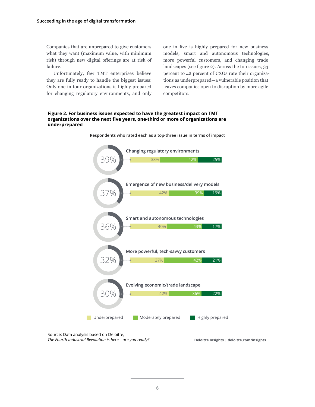Companies that are unprepared to give customers what they want (maximum value, with minimum risk) through new digital offerings are at risk of failure.

Unfortunately, few TMT enterprises believe they are fully ready to handle the biggest issues: Only one in four organizations is highly prepared for changing regulatory environments, and only one in five is highly prepared for new business models, smart and autonomous technologies, more powerful customers, and changing trade landscapes (see figure 2). Across the top issues, 33 percent to 42 percent of CXOs rate their organizations as underprepared—a vulnerable position that leaves companies open to disruption by more agile competitors.

#### **Figure 2. For business issues expected to have the greatest impact on TMT organizations over the next five years, one-third or more of organizations are underprepared**



**Respondents who rated each as a top-three issue in terms of impact**

**Deloitte Insights | deloitte.com/insights**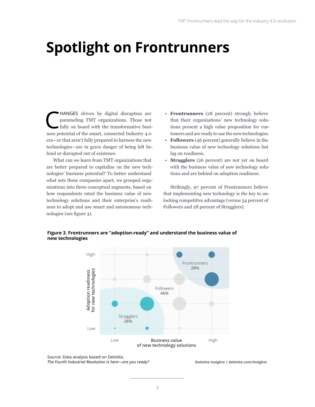# <span id="page-8-0"></span>**Spotlight on Frontrunners**

HANGES driven by digital disruption are pummeling TMT organizations. Those not fully on board with the transformative busipummeling TMT organizations. Those not ness potential of the smart, connected Industry 4.0 era—or that aren't fully prepared to harness the new technologies—are in grave danger of being left behind or disrupted out of existence.

What can we learn from TMT organizations that are better prepared to capitalize on the new technologies' business potential? To better understand what sets these companies apart, we grouped organizations into three conceptual segments, based on how respondents rated the business value of new technology solutions and their enterprise's readiness to adopt and use smart and autonomous technologies (see figure 3).

- **Frontrunners** (28 percent) strongly believe that their organizations' new technology solutions present a high value proposition for customers and are ready to use the new technologies.
- **Followers** (46 percent) generally believe in the business value of new technology solutions but lag on readiness.
- **Stragglers** (26 percent) are not yet on board with the business value of new technology solutions and are behind on adoption readiness.

Strikingly, 97 percent of Frontrunners believe that implementing new technology is *the* key to unlocking competitive advantage (versus 54 percent of Followers and 28 percent of Stragglers).

**Figure 3. Frontrunners are "adoption-ready" and understand the business value of new technologies**



Source: Data analysis based on Deloitte, *The Fourth Industrial Revolution is here—are you ready?*

**Deloitte Insights | deloitte.com/insights**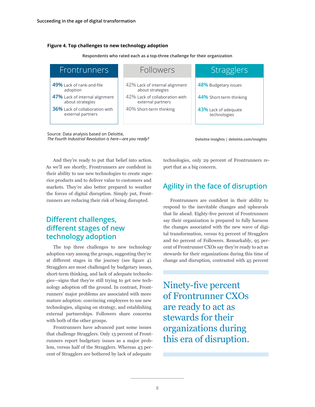#### **Figure 4. Top challenges to new technology adoption**

| <b>Frontrunners</b>                                        | Followers                                           | Stragglers                           |
|------------------------------------------------------------|-----------------------------------------------------|--------------------------------------|
| 49% Lack of rank-and-file<br>adoption                      | 42% Lack of internal alignment<br>about strategies  | 48% Budgetary issues                 |
| 47% Lack of internal alignment<br>about strategies         | 42% Lack of collaboration with<br>external partners | 44% Short-term thinking              |
| <b>36%</b> Lack of collaboration with<br>external partners | 40% Short-term thinking                             | 43% Lack of adequate<br>technologies |

Source: Data analysis based on Deloitte, *The Fourth Industrial Revolution is here—are you ready?*

**Deloitte Insights | deloitte.com/insights**

And they're ready to put that belief into action. As we'll see shortly, Frontrunners are confident in their ability to use new technologies to create superior products and to deliver value to customers and markets. They're also better prepared to weather the forces of digital disruption. Simply put, Frontrunners are reducing their risk of being disrupted.

## **Different challenges, different stages of new technology adoption**

The top three challenges to new technology adoption vary among the groups, suggesting they're at different stages in the journey (see figure 4). Stragglers are most challenged by budgetary issues, short-term thinking, and lack of adequate technologies—signs that they're still trying to get new technology adoption off the ground. In contrast, Frontrunners' major problems are associated with more mature adoption: convincing employees to use new technologies, aligning on strategy, and establishing external partnerships. Followers share concerns with both of the other groups.

Frontrunners have advanced past some issues that challenge Stragglers. Only 13 percent of Frontrunners report budgetary issues as a major problem, versus half of the Stragglers. Whereas 43 percent of Stragglers are bothered by lack of adequate

technologies, only 29 percent of Frontrunners report that as a big concern.

## **Agility in the face of disruption**

Frontrunners are confident in their ability to respond to the inevitable changes and upheavals that lie ahead. Eighty-five percent of Frontrunners say their organization is prepared to fully harness the changes associated with the new wave of digital transformation, versus 63 percent of Stragglers and 60 percent of Followers. Remarkably, 95 percent of Frontrunner CXOs say they're ready to act as stewards for their organizations during this time of change and disruption, contrasted with 45 percent

Ninety-five percent of Frontrunner CXOs are ready to act as stewards for their organizations during this era of disruption.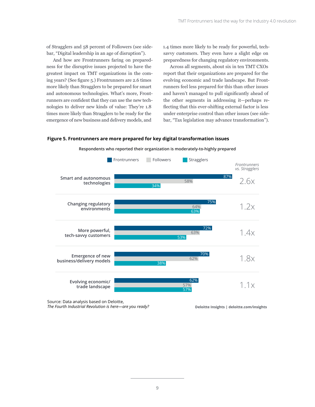of Stragglers and 58 percent of Followers (see sidebar, "Digital leadership in an age of disruption").

And how are Frontrunners faring on preparedness for the disruptive issues projected to have the greatest impact on TMT organizations in the coming years? (See figure 5.) Frontrunners are 2.6 times more likely than Stragglers to be prepared for smart and autonomous technologies. What's more, Frontrunners are confident that they can use the new technologies to deliver new kinds of value: They're 1.8 times more likely than Stragglers to be ready for the emergence of new business and delivery models, and

1.4 times more likely to be ready for powerful, techsavvy customers. They even have a slight edge on preparedness for changing regulatory environments.

Across all segments, about six in ten TMT CXOs report that their organizations are prepared for the evolving economic and trade landscape. But Frontrunners feel less prepared for this than other issues and haven't managed to pull significantly ahead of the other segments in addressing it—perhaps reflecting that this ever-shifting external factor is less under enterprise control than other issues (see sidebar, "Tax legislation may advance transformation").

#### **Figure 5. Frontrunners are more prepared for key digital transformation issues**



**Respondents who reported their organization is moderately-to-highly prepared**

Source: Data analysis based on Deloitte, *The Fourth Industrial Revolution is here—are you ready?*

**Deloitte Insights | deloitte.com/insights**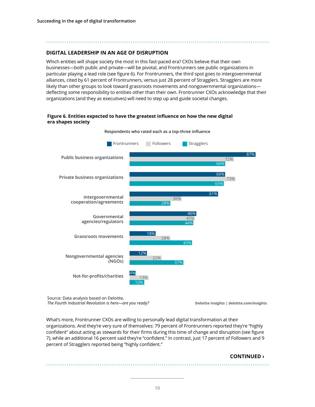#### **DIGITAL LEADERSHIP IN AN AGE OF DISRUPTION**

Which entities will shape society the most in this fast-paced era? CXOs believe that their own businesses—both public and private—will be pivotal, and Frontrunners see public organizations in particular playing a lead role (see figure 6). For Frontrunners, the third spot goes to intergovernmental alliances, cited by 61 percent of Frontrunners, versus just 28 percent of Stragglers. Stragglers are more likely than other groups to look toward grassroots movements and nongovernmental organizations deflecting some responsibility to entities other than their own. Frontrunner CXOs acknowledge that their organizations (and they as executives) will need to step up and guide societal changes.

#### **Figure 6. Entities expected to have the greatest influence on how the new digital era shapes society**



**Respondents who rated each as a top-three influence**

Source: Data analysis based on Deloitte, *The Fourth Industrial Revolution is here—are you ready?*

**Deloitte Insights | deloitte.com/insights**

What's more, Frontrunner CXOs are willing to personally lead digital transformation at their organizations. And they're very sure of themselves: 79 percent of Frontrunners reported they're "highly confident" about acting as stewards for their firms during this time of change and disruption (see figure 7), while an additional 16 percent said they're "confident." In contrast, just 17 percent of Followers and 9 percent of Stragglers reported being "highly confident."

#### **CONTINUED ›**

. . . . . . . . . . . . . .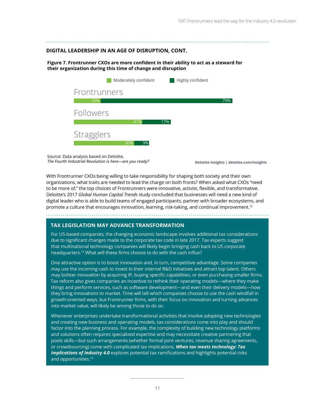#### **DIGITAL LEADERSHIP IN AN AGE OF DISRUPTION, CONT.**

**Figure 7. Frontrunner CXOs are more confident in their ability to act as a steward for their organization during this time of change and disruption**

|                   | Moderately confident | Highly confident |     |
|-------------------|----------------------|------------------|-----|
| Frontrunners      |                      |                  |     |
| 16%               |                      |                  | 79% |
| Followers         |                      |                  |     |
|                   | 41%                  | 17%              |     |
| <b>Stragglers</b> | 36%<br>9%            |                  |     |

Source: Data analysis based on Deloitte, *The Fourth Industrial Revolution is here—are you ready?*

**Deloitte Insights | deloitte.com/insights**

With Frontrunner CXOs being willing to take responsibility for shaping both society and their own organizations, what traits are needed to lead the charge on both fronts? When asked what CXOs "need to be more of," the top choices of Frontrunners were innovative, activist, flexible, and transformative. Deloitte's 2017 *Global Human Capital Trends* study concluded that businesses will need a new kind of digital leader who is able to build teams of engaged participants, partner with broader ecosystems, and promote a culture that encourages innovation, learning, risk-taking, and continual improvement.<sup>12</sup>

#### **TAX LEGISLATION MAY ADVANCE TRANSFORMATION**

For US-based companies, the changing economic landscape involves additional tax considerations due to significant changes made to the corporate tax code in late 2017. Tax experts suggest that multinational technology companies will likely begin bringing cash back to US corporate headquarters.13 What will these firms choose to do with the cash influx?

One attractive option is to boost innovation and, in turn, competitive advantage. Some companies may use the incoming cash to invest in their internal R&D initiatives and attract top talent. Others may bolster innovation by acquiring IP, buying specific capabilities, or even purchasing smaller firms. Tax reform also gives companies an incentive to rethink their operating models—where they make things and perform services, such as software development—and even their delivery models—how they bring innovations to market. Time will tell which companies choose to use the cash windfall in growth-oriented ways, but Frontrunner firms, with their focus on innovation and turning advances into market value, will likely be among those to do so.

Whenever enterprises undertake transformational activities that involve adopting new technologies and creating new business and operating models, tax considerations come into play and should factor into the planning process. For example, the complexity of building new technology platforms and solutions often requires specialized expertise and may necessitate creative partnering that pools skills—but such arrangements (whether formal joint ventures, revenue sharing agreements, or crowdsourcing) come with complicated tax implications. *[When tax meets technology: Tax](https://www2.deloitte.com/insights/us/en/focus/industry-4-0/tax-implications-of-new-industrial-revolution.html)  [implications of Industry 4.0](https://www2.deloitte.com/insights/us/en/focus/industry-4-0/tax-implications-of-new-industrial-revolution.html)* explores potential tax ramifications and highlights potential risks and opportunities.<sup>14</sup>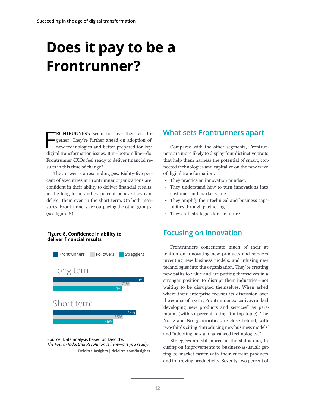# <span id="page-13-0"></span>**Does it pay to be a Frontrunner?**

F RONTRUNNERS seem to have their act together: They're further ahead on adoption of new technologies and better prepared for key digital transformation issues. But—bottom line—do Frontrunner CXOs feel ready to deliver financial results in this time of change?

The answer is a resounding *yes*. Eighty-five percent of executives at Frontrunner organizations are confident in their ability to deliver financial results in the long term, and 77 percent believe they can deliver them even in the short term. On both measures, Frontrunners are outpacing the other groups (see figure 8).

#### **Figure 8. Confidence in ability to deliver financial results**



**Deloitte Insights | deloitte.com/insights** Source: Data analysis based on Deloitte, *The Fourth Industrial Revolution is here—are you ready?*

### **What sets Frontrunners apart**

Compared with the other segments, Frontrunners are more likely to display four distinctive traits that help them harness the potential of smart, connected technologies and capitalize on the new wave of digital transformation:

- They practice an innovation mindset.
- They understand how to turn innovations into customer and market value.
- They amplify their technical and business capabilities through partnering.
- They craft strategies for the future.

### **Focusing on innovation**

Frontrunners concentrate much of their attention on innovating new products and services, inventing new business models, and infusing new technologies into the organization. They're creating new paths to value and are putting themselves in a stronger position to disrupt their industries—not waiting to be disrupted themselves. When asked where their enterprise focuses its discussion over the course of a year, Frontrunner executives ranked "developing new products and services" as paramount (with 71 percent rating it a top topic). The No. 2 and No. 3 priorities are close behind, with two-thirds citing "introducing new business models" and "adopting new and advanced technologies."

Stragglers are still mired in the status quo, focusing on improvements to business-as-usual: getting to market faster with their current products, and improving productivity. Seventy-two percent of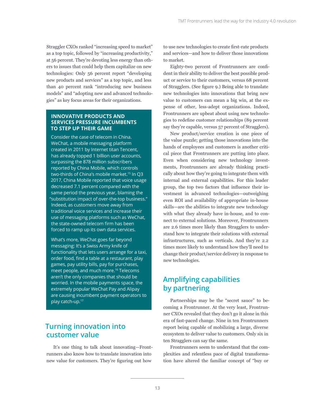Straggler CXOs ranked "increasing speed to market" as a top topic, followed by "increasing productivity," at 56 percent. They're devoting less energy than others to issues that could help them capitalize on new technologies: Only 56 percent report "developing new products and services" as a top topic, and less than 40 percent rank "introducing new business models" and "adopting new and advanced technologies" as key focus areas for their organizations.

#### **INNOVATIVE PRODUCTS AND SERVICES PRESSURE INCUMBENTS TO STEP UP THEIR GAME**

Consider the case of telecom in China. WeChat, a mobile messaging platform created in 2011 by Internet titan Tencent, has already topped 1 billion user accounts, surpassing the 878 million subscribers reported by China Mobile, which controls two-thirds of China's mobile market.15 In Q3 2017, China Mobile reported that voice usage decreased 7.1 percent compared with the same period the previous year, blaming the "substitution impact of over-the-top business." Indeed, as customers move away from traditional voice services and increase their use of messaging platforms such as WeChat, the state-owned telecom firm has been forced to ramp up its own data services.

What's more, WeChat goes far beyond messaging: It's a Swiss Army knife of functionality that lets users arrange for a taxi, order food, find a table at a restaurant, play games, pay utility bills, pay for purchases, meet people, and much more.16 Telecoms aren't the only companies that should be worried. In the mobile payments space, the extremely popular WeChat Pay and Alipay are causing incumbent payment operators to play catch-up.17

## **Turning innovation into customer value**

It's one thing to talk about innovating—Frontrunners also know how to translate innovation into new value for customers. They're figuring out how

to use new technologies to create first-rate products and services—and how to deliver those innovations to market.

Eighty-two percent of Frontrunners are confident in their ability to deliver the best possible product or service to their customers, versus 68 percent of Stragglers. (See figure 9.) Being able to translate new technologies into innovations that bring new value to customers can mean a big win, at the expense of other, less-adept organizations. Indeed, Frontrunners are upbeat about using new technologies to redefine customer relationships (89 percent say they're capable, versus 57 percent of Stragglers).

New product/service creation is one piece of the value puzzle; getting those innovations into the hands of employees and customers is another critical piece that Frontrunners are putting into place. Even when considering new technology investments, Frontrunners are already thinking practically about how they're going to integrate them with internal and external capabilities. For this leader group, the top two factors that influence their investment in advanced technologies—outweighing even ROI and availability of appropriate in-house skills—are the abilities to integrate new technology with what they already have in-house, and to connect to external solutions. Moreover, Frontrunners are 2.6 times more likely than Stragglers to understand how to integrate their solutions with external infrastructures, such as verticals. And they're 2.2 times more likely to understand how they'll need to change their product/service delivery in response to new technologies.

## **Amplifying capabilities by partnering**

Partnerships may be the "secret sauce" to becoming a Frontrunner. At the very least, Frontrunner CXOs revealed that they don't go it alone in this era of fast-paced change. Nine in ten Frontrunners report being capable of mobilizing a large, diverse ecosystem to deliver value to customers. Only six in ten Stragglers can say the same.

Frontrunners seem to understand that the complexities and relentless pace of digital transformation have altered the familiar concept of "buy or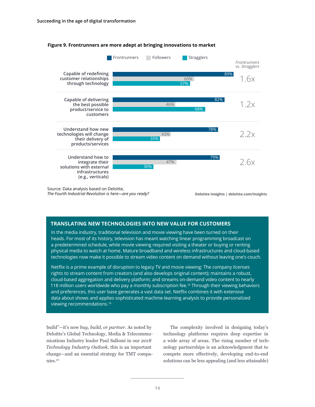

#### **Figure 9. Frontrunners are more adept at bringing innovations to market**

Source: Data analysis based on Deloitte, *The Fourth Industrial Revolution is here—are you ready?*

**Deloitte Insights | deloitte.com/insights**

#### **TRANSLATING NEW TECHNOLOGIES INTO NEW VALUE FOR CUSTOMERS**

In the media industry, traditional television and movie viewing have been turned on their heads. For most of its history, television has meant watching linear programming broadcast on a predetermined schedule, while movie viewing required visiting a theater or buying or renting physical media to watch at home. Mature broadband and wireless infrastructures and cloud-based technologies now make it possible to stream video content on demand without leaving one's couch.

Netflix is a prime example of disruption to legacy TV and movie viewing: The company licenses rights to stream content from creators (and also develops original content); maintains a robust, cloud-based aggregation and delivery platform; and streams on-demand video content to nearly 118 million users worldwide who pay a monthly subscription fee.<sup>18</sup> Through their viewing behaviors and preferences, this user base generates a vast data set. Netflix combines it with extensive data about shows and applies sophisticated machine-learning analysis to provide personalized viewing recommendations.19

build"—it's now *buy, build, or partner*. As noted by Deloitte's Global Technology, Media & Telecommunications Industry leader Paul Sallomi in our *2018 Technology Industry Outlook,* this is an important change—and an essential strategy for TMT companies.20

The complexity involved in designing today's technology platforms requires deep expertise in a wide array of areas. The rising number of technology partnerships is an acknowledgment that to compete more effectively, developing end-to-end solutions can be less appealing (and less attainable)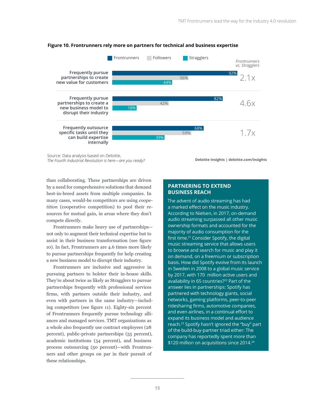

#### **Figure 10. Frontrunners rely more on partners for technical and business expertise**

Source: Data analysis based on Deloitte, *The Fourth Industrial Revolution is here—are you ready?*

**Deloitte Insights | deloitte.com/insights**

than collaborating. These partnerships are driven by a need for comprehensive solutions that demand best-in-breed assets from multiple companies. In many cases, would-be competitors are using *coopetition* (cooperative competition) to pool their resources for mutual gain, in areas where they don't compete directly.

Frontrunners make heavy use of partnerships not only to augment their technical expertise but to assist in their business transformation (see figure 10). In fact, Frontrunners are 4.6 times more likely to pursue partnerships frequently for help creating a new business model to disrupt their industry.

Frontrunners are inclusive and aggressive in pursuing partners to bolster their in-house skills. They're about twice as likely as Stragglers to pursue partnerships frequently with professional services firms, with partners outside their industry, and even with partners in the same industry—including competitors (see figure 11). Eighty-six percent of Frontrunners frequently pursue technology alliances and managed services. TMT organizations as a whole also frequently use contract employees (28 percent), public-private partnerships (55 percent), academic institutions (54 percent), and business process outsourcing (50 percent)—with Frontrunners and other groups on par in their pursuit of these relationships.

#### **PARTNERING TO EXTEND BUSINESS REACH**

The advent of audio streaming has had a marked effect on the music industry. According to Nielsen, in 2017, on-demand audio streaming surpassed all other music ownership formats and accounted for the majority of audio consumption for the first time.<sup>21</sup> Consider Spotify, the digital music streaming service that allows users to browse and search for music and play it on demand, on a freemium or subscription basis. How did Spotify evolve from its launch in Sweden in 2008 to a global music service by 2017, with 170 million active users and availability in 65 countries?<sup>22</sup> Part of the answer lies in partnerships: Spotify has partnered with technology giants, social networks, gaming platforms, peer-to-peer ridesharing firms, automotive companies, and even airlines, in a continual effort to expand its business model and audience reach.23 Spotify hasn't ignored the "buy" part of the build-buy-partner triad either: The company has reportedly spent more than \$120 million on acquisitions since 2014.<sup>24</sup>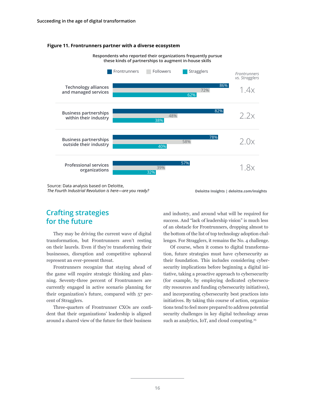#### **Figure 11. Frontrunners partner with a diverse ecosystem**



Source: Data analysis based on Deloitte, *The Fourth Industrial Revolution is here—are you ready?*

**Deloitte Insights | deloitte.com/insights**

### **Crafting strategies for the future**

They may be driving the current wave of digital transformation, but Frontrunners aren't resting on their laurels. Even if they're transforming their businesses, disruption and competitive upheaval represent an ever-present threat.

Frontrunners recognize that staying ahead of the game will require strategic thinking and planning. Seventy-three percent of Frontrunners are currently engaged in active scenario planning for their organization's future, compared with 57 percent of Stragglers.

Three-quarters of Frontrunner CXOs are confident that their organizations' leadership is aligned around a shared view of the future for their business

and industry, and around what will be required for success. And "lack of leadership vision" is much less of an obstacle for Frontrunners, dropping almost to the bottom of the list of top technology adoption challenges. For Stragglers, it remains the No. 4 challenge.

Of course, when it comes to digital transformation, future strategies must have cybersecurity as their foundation. This includes considering cybersecurity implications before beginning a digital initiative, taking a proactive approach to cybersecurity (for example, by employing dedicated cybersecurity resources and funding cybersecurity initiatives), and incorporating cybersecurity best practices into initiatives. By taking this course of action, organizations tend to feel more prepared to address potential security challenges in key digital technology areas such as analytics, IoT, and cloud computing.<sup>25</sup>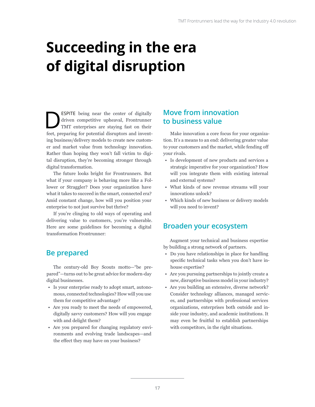# <span id="page-18-0"></span>**Succeeding in the era of digital disruption**

ESPITE being near the center of digitally<br>driven competitive upheaval, Frontrunner<br>TMT enterprises are staying fast on their<br>feet preparing for notantial diagonators and investdriven competitive upheaval, Frontrunner TMT enterprises are staying fast on their feet, preparing for potential disruptors and inventing business/delivery models to create new customer and market value from technology innovation. Rather than hoping they won't fall victim to digital disruption, they're becoming stronger through digital transformation.

The future looks bright for Frontrunners. But what if your company is behaving more like a Follower or Straggler? Does your organization have what it takes to succeed in the smart, connected era? Amid constant change, how will you position your enterprise to not just survive but thrive?

If you're clinging to old ways of operating and delivering value to customers, you're vulnerable. Here are some guidelines for becoming a digital transformation Frontrunner:

## **Be prepared**

The century-old Boy Scouts motto—"be prepared"—turns out to be great advice for modern-day digital businesses.

- Is your enterprise ready to adopt smart, autonomous, connected technologies? How will you use them for competitive advantage?
- Are you ready to meet the needs of empowered, digitally savvy customers? How will you engage with and delight them?
- Are you prepared for changing regulatory environments and evolving trade landscapes—and the effect they may have on your business?

### **Move from innovation to business value**

Make innovation a core focus for your organization. It's a means to an end: delivering greater value to your customers and the market, while fending off your rivals.

- Is development of new products and services a strategic imperative for your organization? How will you integrate them with existing internal and external systems?
- What kinds of new revenue streams will your innovations unlock?
- Which kinds of new business or delivery models will you need to invent?

### **Broaden your ecosystem**

Augment your technical and business expertise by building a strong network of partners.

- Do you have relationships in place for handling specific technical tasks when you don't have inhouse expertise?
- Are you pursuing partnerships to jointly create a new, disruptive business model in your industry?
- Are you building an extensive, diverse network? Consider technology alliances, managed services, and partnerships with professional services organizations, enterprises both outside and inside your industry, and academic institutions. It may even be fruitful to establish partnerships with competitors, in the right situations.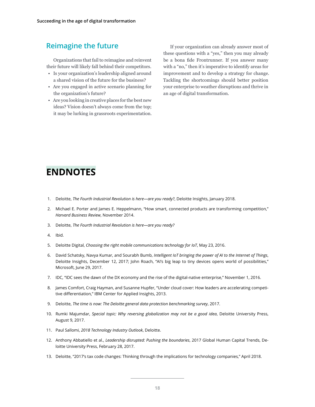### <span id="page-19-0"></span>**Reimagine the future**

Organizations that fail to reimagine and reinvent their future will likely fall behind their competitors.

- Is your organization's leadership aligned around a shared vision of the future for the business?
- Are you engaged in active scenario planning for the organization's future?
- Are you looking in creative places for the best new ideas? Vision doesn't always come from the top; it may be lurking in grassroots experimentation.

If your organization can already answer most of these questions with a "yes," then you may already be a bona fide Frontrunner. If you answer many with a "no," then it's imperative to identify areas for improvement and to develop a strategy for change. Tackling the shortcomings should better position your enterprise to weather disruptions and thrive in an age of digital transformation.

## **ENDNOTES**

- 1. Deloitte, *The Fourth Industrial Revolution is here—are you ready?*, Deloitte Insights, January 2018.
- 2. Michael E. Porter and James E. Heppelmann, "How smart, connected products are transforming competition," *Harvard Business Review*, November 2014.
- 3. Deloitte, *The Fourth Industrial Revolution is here—are you ready?*
- 4. Ibid.
- 5. Deloitte Digital, *Choosing the right mobile communications technology for IoT*, May 23, 2016.
- 6. David Schatsky, Navya Kumar, and Sourabh Bumb, *Intelligent IoT bringing the power of AI to the Internet of Things*, Deloitte Insights, December 12, 2017; John Roach, "AI's big leap to tiny devices opens world of possibilities," Microsoft, June 29, 2017.
- 7. IDC, "IDC sees the dawn of the DX economy and the rise of the digital-native enterprise," November 1, 2016.
- 8. James Comfort, Craig Hayman, and Susanne Hupfer, "Under cloud cover: How leaders are accelerating competitive differentiation," IBM Center for Applied Insights, 2013.
- 9. Deloitte, *The time is now: The Deloitte general data protection benchmarking survey*, 2017.
- 10. Rumki Majumdar, *Special topic: Why reversing globalization may not be a good idea*, Deloitte University Press, August 9, 2017.
- 11. Paul Sallomi, *2018 Technology Industry Outlook*, Deloitte.
- 12. Anthony Abbatiello et al., *Leadership disrupted: Pushing the boundaries*, 2017 Global Human Capital Trends, Deloitte University Press, February 28, 2017.
- 13. Deloitte, "2017's tax code changes: Thinking through the implications for technology companies," April 2018.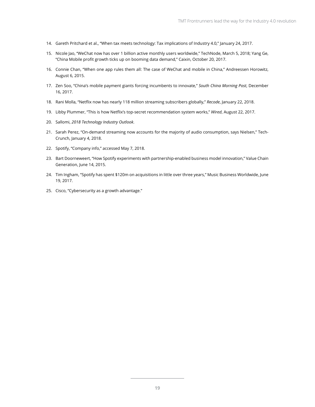- 14. Gareth Pritchard et al., "When tax meets technology: Tax implications of Industry 4.0," January 24, 2017.
- 15. Nicole Jao, "WeChat now has over 1 billion active monthly users worldwide," TechNode, March 5, 2018; Yang Ge, "China Mobile profit growth ticks up on booming data demand," Caixin, October 20, 2017.
- 16. Connie Chan, "When one app rules them all: The case of WeChat and mobile in China," Andreessen Horowitz, August 6, 2015.
- 17. Zen Soo, "China's mobile payment giants forcing incumbents to innovate," *South China Morning Post*, December 16, 2017.
- 18. Rani Molla, "Netflix now has nearly 118 million streaming subscribers globally," *Recode*, January 22, 2018.
- 19. Libby Plummer, "This is how Netflix's top-secret recommendation system works," *Wired*, August 22, 2017.
- 20. Sallomi, *2018 Technology Industry Outlook*.
- 21. Sarah Perez, "On-demand streaming now accounts for the majority of audio consumption, says Nielsen," Tech-Crunch, January 4, 2018.
- 22. Spotify, "Company info," accessed May 7, 2018.
- 23. Bart Doorneweert, "How Spotify experiments with partnership-enabled business model innovation," Value Chain Generation, June 14, 2015.
- 24. Tim Ingham, "Spotify has spent \$120m on acquisitions in little over three years," Music Business Worldwide, June 19, 2017.
- 25. Cisco, "Cybersecurity as a growth advantage."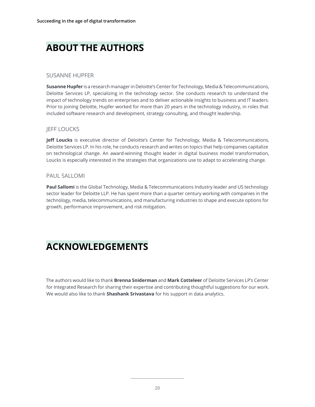## **ABOUT THE AUTHORS**

#### SUSANNE HUPFER

**Susanne Hupfer** is a research manager in Deloitte's Center for Technology, Media & Telecommunications, Deloitte Services LP, specializing in the technology sector. She conducts research to understand the impact of technology trends on enterprises and to deliver actionable insights to business and IT leaders. Prior to joining Deloitte, Hupfer worked for more than 20 years in the technology industry, in roles that included software research and development, strategy consulting, and thought leadership.

#### **IEFF LOUCKS**

**Jeff Loucks** is executive director of Deloitte's Center for Technology, Media & Telecommunications, Deloitte Services LP. In his role, he conducts research and writes on topics that help companies capitalize on technological change. An award-winning thought leader in digital business model transformation, Loucks is especially interested in the strategies that organizations use to adapt to accelerating change.

#### PAUL SALLOMI

**Paul Sallomi** is the Global Technology, Media & Telecommunications Industry leader and US technology sector leader for Deloitte LLP. He has spent more than a quarter century working with companies in the technology, media, telecommunications, and manufacturing industries to shape and execute options for growth, performance improvement, and risk mitigation.

## **ACKNOWLEDGEMENTS**

The authors would like to thank **Brenna Sniderman** and **Mark Cotteleer** of Deloitte Services LP's Center for Integrated Research for sharing their expertise and contributing thoughtful suggestions for our work. We would also like to thank **Shashank Srivastava** for his support in data analytics.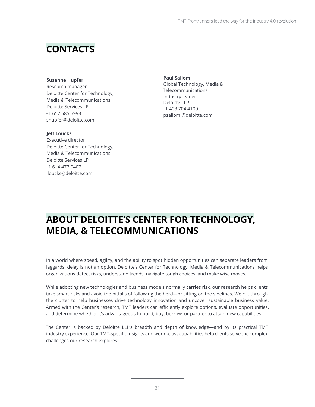## **CONTACTS**

#### **Susanne Hupfer**

Research manager Deloitte Center for Technology, Media & Telecommunications Deloitte Services LP +1 617 585 5993 shupfer@deloitte.com

#### **Jeff Loucks**

Executive director Deloitte Center for Technology, Media & Telecommunications Deloitte Services LP +1 614 477 0407 jloucks@deloitte.com

**Paul Sallomi** Global Technology, Media & Telecommunications Industry leader Deloitte LLP +1 408 704 4100 psallomi@deloitte.com

## **ABOUT DELOITTE'S CENTER FOR TECHNOLOGY, MEDIA, & TELECOMMUNICATIONS**

In a world where speed, agility, and the ability to spot hidden opportunities can separate leaders from laggards, delay is not an option. Deloitte's Center for Technology, Media & Telecommunications helps organizations detect risks, understand trends, navigate tough choices, and make wise moves.

While adopting new technologies and business models normally carries risk, our research helps clients take smart risks and avoid the pitfalls of following the herd—or sitting on the sidelines. We cut through the clutter to help businesses drive technology innovation and uncover sustainable business value. Armed with the Center's research, TMT leaders can efficiently explore options, evaluate opportunities, and determine whether it's advantageous to build, buy, borrow, or partner to attain new capabilities.

The Center is backed by Deloitte LLP's breadth and depth of knowledge—and by its practical TMT industry experience. Our TMT-specific insights and world-class capabilities help clients solve the complex challenges our research explores.